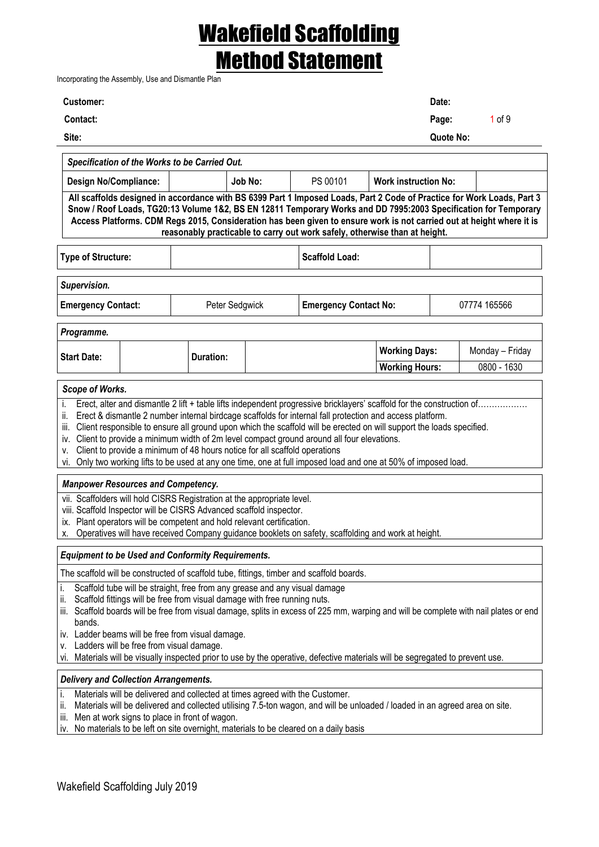Incorporating the Assembly, Use and Dismantle Plan

| <b>Customer:</b> | Date:               |
|------------------|---------------------|
| <b>Contact:</b>  | $1$ of $9$<br>Page: |
| Site:            | Quote No:           |
|                  |                     |

| Specification of the Works to be Carried Out.                                                                         |  |         |          |                                                                                                                        |  |  |  |
|-----------------------------------------------------------------------------------------------------------------------|--|---------|----------|------------------------------------------------------------------------------------------------------------------------|--|--|--|
| <b>Design No/Compliance:</b>                                                                                          |  | Job No: | PS 00101 | <b>Work instruction No:</b>                                                                                            |  |  |  |
|                                                                                                                       |  |         |          | All scaffolds designed in accordance with BS 6399 Part 1 Imposed Loads, Part 2 Code of Practice for Work Loads, Part 3 |  |  |  |
| Snow / Roof Loads, TG20:13 Volume 1&2, BS EN 12811 Temporary Works and DD 7995:2003 Specification for Temporary       |  |         |          |                                                                                                                        |  |  |  |
| Access Platforms. CDM Regs 2015, Consideration has been given to ensure work is not carried out at height where it is |  |         |          |                                                                                                                        |  |  |  |
| reasonably practicable to carry out work safely, otherwise than at height.                                            |  |         |          |                                                                                                                        |  |  |  |

| Type of Structure:        |                | Scaffold Load:               |              |
|---------------------------|----------------|------------------------------|--------------|
| Supervision.              |                |                              |              |
| <b>Emergency Contact:</b> | Peter Sedgwick | <b>Emergency Contact No:</b> | 07774 165566 |

| Programme.         |           |                       |                 |
|--------------------|-----------|-----------------------|-----------------|
| <b>Start Date:</b> | Duration: | <b>Working Days:</b>  | Monday – Friday |
|                    |           | <b>Working Hours:</b> | 0800 - 1630     |

#### *Scope of Works.*

i. Erect, alter and dismantle 2 lift + table lifts independent progressive bricklayers' scaffold for the construction of….

ii. Erect & dismantle 2 number internal birdcage scaffolds for internal fall protection and access platform.

iii. Client responsible to ensure all ground upon which the scaffold will be erected on will support the loads specified.

iv. Client to provide a minimum width of 2m level compact ground around all four elevations.

v. Client to provide a minimum of 48 hours notice for all scaffold operations

vi. Only two working lifts to be used at any one time, one at full imposed load and one at 50% of imposed load.

#### *Manpower Resources and Competency.*

vii. Scaffolders will hold CISRS Registration at the appropriate level.

viii. Scaffold Inspector will be CISRS Advanced scaffold inspector.

ix. Plant operators will be competent and hold relevant certification.

x. Operatives will have received Company guidance booklets on safety, scaffolding and work at height.

#### *Equipment to be Used and Conformity Requirements.*

The scaffold will be constructed of scaffold tube, fittings, timber and scaffold boards.

- i. Scaffold tube will be straight, free from any grease and any visual damage
- ii. Scaffold fittings will be free from visual damage with free running nuts.
- iii. Scaffold boards will be free from visual damage, splits in excess of 225 mm, warping and will be complete with nail plates or end bands.
- iv. Ladder beams will be free from visual damage.
- v. Ladders will be free from visual damage.
- vi. Materials will be visually inspected prior to use by the operative, defective materials will be segregated to prevent use.

#### *Delivery and Collection Arrangements.*

i. Materials will be delivered and collected at times agreed with the Customer.

ii. Materials will be delivered and collected utilising 7.5-ton wagon, and will be unloaded / loaded in an agreed area on site.

iii. Men at work signs to place in front of wagon.

iv. No materials to be left on site overnight, materials to be cleared on a daily basis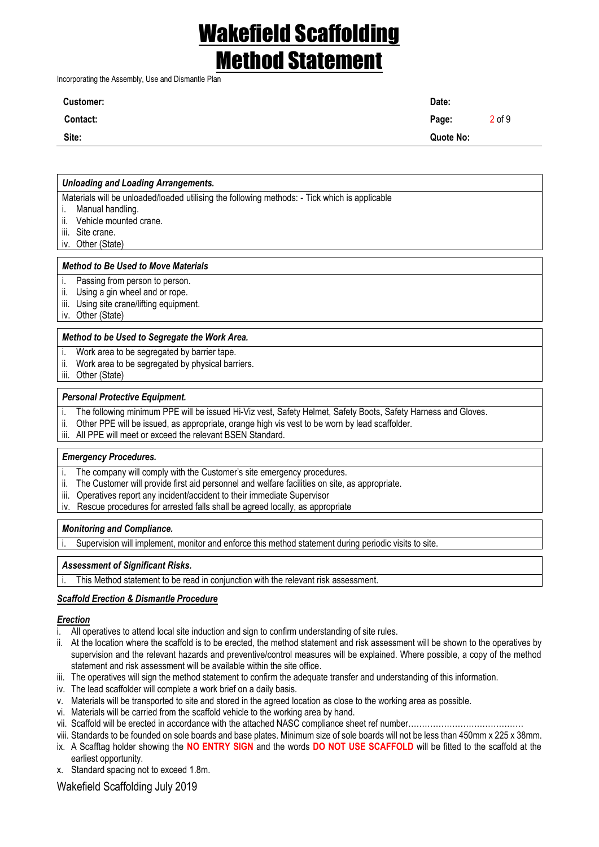Incorporating the Assembly, Use and Dismantle Plan

| <b>Customer:</b> | Date:     |            |
|------------------|-----------|------------|
| Contact:         | Page:     | $2$ of $9$ |
| Site:            | Quote No: |            |
|                  |           |            |

#### *Unloading and Loading Arrangements.*

Materials will be unloaded/loaded utilising the following methods: - Tick which is applicable

- i. Manual handling.
- ii. Vehicle mounted crane.
- iii. Site crane.
- iv. Other (State)

#### *Method to Be Used to Move Materials*

- i. Passing from person to person.
- ii. Using a gin wheel and or rope.
- iii. Using site crane/lifting equipment.
- iv. Other (State)

#### *Method to be Used to Segregate the Work Area.*

- i. Work area to be segregated by barrier tape.
- ii. Work area to be segregated by physical barriers.
- iii. Other (State)

#### *Personal Protective Equipment.*

- i. The following minimum PPE will be issued Hi-Viz vest, Safety Helmet, Safety Boots, Safety Harness and Gloves.
- ii. Other PPE will be issued, as appropriate, orange high vis vest to be worn by lead scaffolder.
- iii. All PPE will meet or exceed the relevant BSEN Standard.

#### *Emergency Procedures.*

- i. The company will comply with the Customer's site emergency procedures.
- ii. The Customer will provide first aid personnel and welfare facilities on site, as appropriate.
- iii. Operatives report any incident/accident to their immediate Supervisor
- iv. Rescue procedures for arrested falls shall be agreed locally, as appropriate

#### *Monitoring and Compliance.*

Supervision will implement, monitor and enforce this method statement during periodic visits to site.

#### *Assessment of Significant Risks.*

This Method statement to be read in conjunction with the relevant risk assessment.

#### *Scaffold Erection & Dismantle Procedure*

### *Erection*

- i. All operatives to attend local site induction and sign to confirm understanding of site rules.
- ii. At the location where the scaffold is to be erected, the method statement and risk assessment will be shown to the operatives by supervision and the relevant hazards and preventive/control measures will be explained. Where possible, a copy of the method statement and risk assessment will be available within the site office.
- iii. The operatives will sign the method statement to confirm the adequate transfer and understanding of this information.
- iv. The lead scaffolder will complete a work brief on a daily basis.
- v. Materials will be transported to site and stored in the agreed location as close to the working area as possible.
- vi. Materials will be carried from the scaffold vehicle to the working area by hand.
- vii. Scaffold will be erected in accordance with the attached NASC compliance sheet ref number……………………………………
- viii. Standards to be founded on sole boards and base plates. Minimum size of sole boards will not be less than 450mm x 225 x 38mm.
- ix. A Scafftag holder showing the **NO ENTRY SIGN** and the words **DO NOT USE SCAFFOLD** will be fitted to the scaffold at the earliest opportunity.
- x. Standard spacing not to exceed 1.8m.

Wakefield Scaffolding July 2019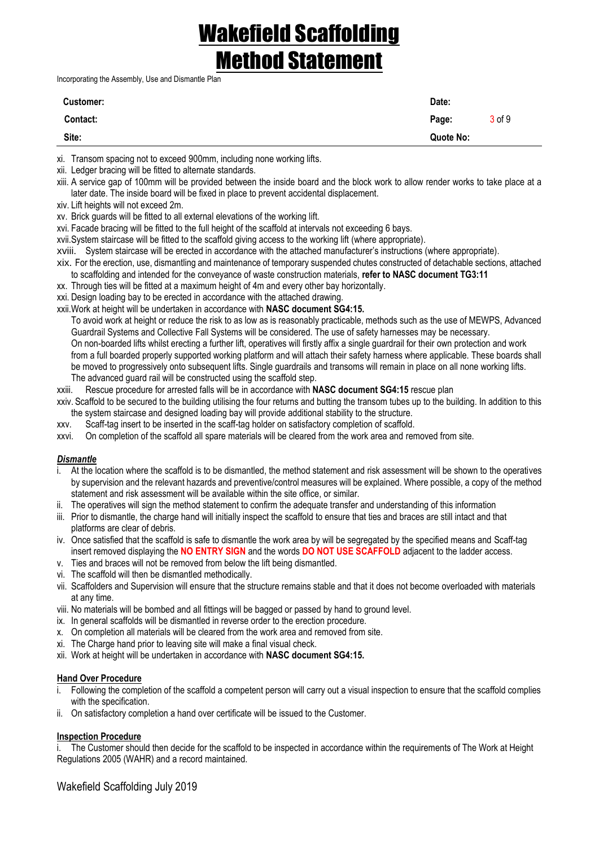Incorporating the Assembly, Use and Dismantle Plan

| Customer: | Date:               |
|-----------|---------------------|
| Contact:  | $3$ of $9$<br>Page: |
| Site:     | Quote No:           |
|           |                     |

xi. Transom spacing not to exceed 900mm, including none working lifts.

- xii. Ledger bracing will be fitted to alternate standards.
- xiii. A service gap of 100mm will be provided between the inside board and the block work to allow render works to take place at a later date. The inside board will be fixed in place to prevent accidental displacement.
- xiv. Lift heights will not exceed 2m.

xv. Brick guards will be fitted to all external elevations of the working lift.

- xvi. Facade bracing will be fitted to the full height of the scaffold at intervals not exceeding 6 bays.
- xvii.System staircase will be fitted to the scaffold giving access to the working lift (where appropriate).
- xviii. System staircase will be erected in accordance with the attached manufacturer's instructions (where appropriate).
- xix. For the erection, use, dismantling and maintenance of temporary suspended chutes constructed of detachable sections, attached to scaffolding and intended for the conveyance of waste construction materials, **refer to NASC document TG3:11**
- xx. Through ties will be fitted at a maximum height of 4m and every other bay horizontally.
- xxi. Design loading bay to be erected in accordance with the attached drawing.
- xxii.Work at height will be undertaken in accordance with **NASC document SG4:15.**
	- To avoid work at height or reduce the risk to as low as is reasonably practicable, methods such as the use of MEWPS, Advanced Guardrail Systems and Collective Fall Systems will be considered. The use of safety harnesses may be necessary. On non-boarded lifts whilst erecting a further lift, operatives will firstly affix a single guardrail for their own protection and work from a full boarded properly supported working platform and will attach their safety harness where applicable. These boards shall be moved to progressively onto subsequent lifts. Single guardrails and transoms will remain in place on all none working lifts. The advanced guard rail will be constructed using the scaffold step.
- xxiii. Rescue procedure for arrested falls will be in accordance with **NASC document SG4:15** rescue plan
- xxiv. Scaffold to be secured to the building utilising the four returns and butting the transom tubes up to the building. In addition to this the system staircase and designed loading bay will provide additional stability to the structure.
- xxv. Scaff-tag insert to be inserted in the scaff-tag holder on satisfactory completion of scaffold.
- xxvi. On completion of the scaffold all spare materials will be cleared from the work area and removed from site.

### *Dismantle*

- i. At the location where the scaffold is to be dismantled, the method statement and risk assessment will be shown to the operatives by supervision and the relevant hazards and preventive/control measures will be explained. Where possible, a copy of the method statement and risk assessment will be available within the site office, or similar.
- ii. The operatives will sign the method statement to confirm the adequate transfer and understanding of this information
- iii. Prior to dismantle, the charge hand will initially inspect the scaffold to ensure that ties and braces are still intact and that platforms are clear of debris.
- iv. Once satisfied that the scaffold is safe to dismantle the work area by will be segregated by the specified means and Scaff-tag insert removed displaying the **NO ENTRY SIGN** and the words **DO NOT USE SCAFFOLD** adjacent to the ladder access.
- v. Ties and braces will not be removed from below the lift being dismantled.
- vi. The scaffold will then be dismantled methodically.
- vii. Scaffolders and Supervision will ensure that the structure remains stable and that it does not become overloaded with materials at any time.
- viii. No materials will be bombed and all fittings will be bagged or passed by hand to ground level.
- ix. In general scaffolds will be dismantled in reverse order to the erection procedure.
- x. On completion all materials will be cleared from the work area and removed from site.
- xi. The Charge hand prior to leaving site will make a final visual check.
- xii. Work at height will be undertaken in accordance with **NASC document SG4:15.**

#### **Hand Over Procedure**

- i. Following the completion of the scaffold a competent person will carry out a visual inspection to ensure that the scaffold complies with the specification.
- ii. On satisfactory completion a hand over certificate will be issued to the Customer.

### **Inspection Procedure**

i. The Customer should then decide for the scaffold to be inspected in accordance within the requirements of The Work at Height Regulations 2005 (WAHR) and a record maintained.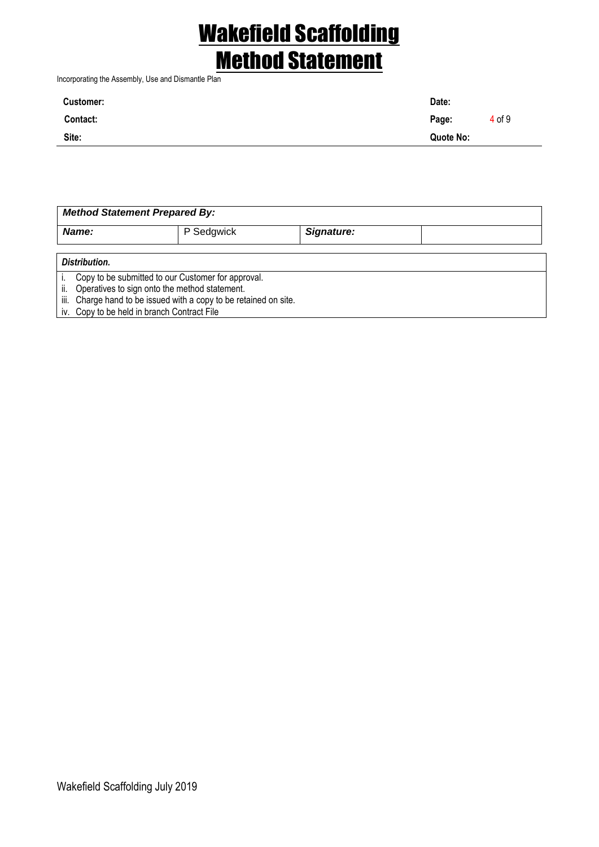Incorporating the Assembly, Use and Dismantle Plan

| <b>Customer:</b> | Date:     |        |
|------------------|-----------|--------|
| Contact:         | Page:     | 4 of 9 |
| Site:            | Quote No: |        |

| <b>Method Statement Prepared By:</b>                                 |            |            |  |  |  |  |
|----------------------------------------------------------------------|------------|------------|--|--|--|--|
| Name:                                                                | P Sedgwick | Signature: |  |  |  |  |
|                                                                      |            |            |  |  |  |  |
| Distribution.                                                        |            |            |  |  |  |  |
| Copy to be submitted to our Customer for approval.                   |            |            |  |  |  |  |
| Operatives to sign onto the method statement.<br>ii.                 |            |            |  |  |  |  |
| Charge hand to be issued with a copy to be retained on site.<br>iii. |            |            |  |  |  |  |
| iv. Copy to be held in branch Contract File                          |            |            |  |  |  |  |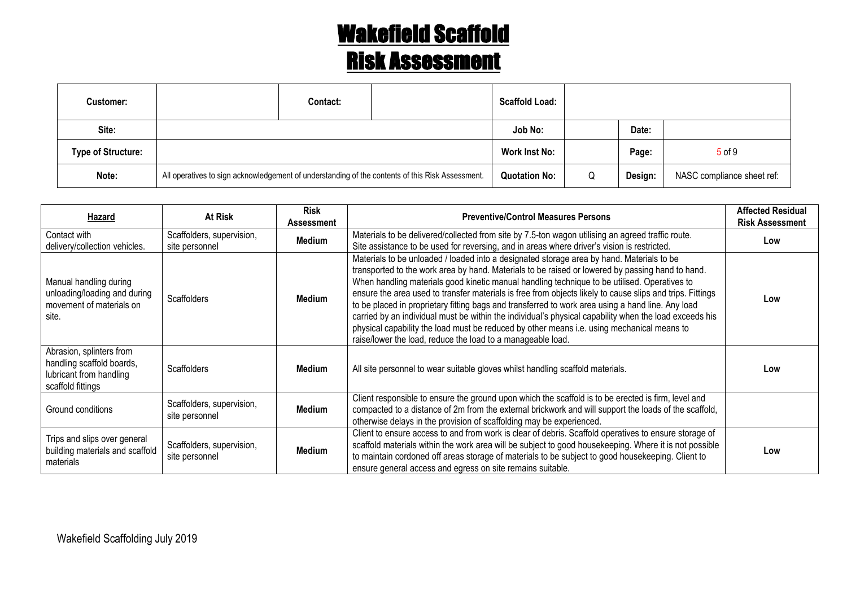| <b>Customer:</b>          |                                                                                                  | Contact: | <b>Scaffold Load:</b> |   |         |                            |
|---------------------------|--------------------------------------------------------------------------------------------------|----------|-----------------------|---|---------|----------------------------|
| Site:                     |                                                                                                  |          | Job No:               |   | Date:   |                            |
| <b>Type of Structure:</b> |                                                                                                  |          | Work Inst No:         |   | Page:   | $5$ of $9$                 |
| Note:                     | All operatives to sign acknowledgement of understanding of the contents of this Risk Assessment. |          | <b>Quotation No:</b>  | Q | Design: | NASC compliance sheet ref: |

| Hazard                                                                                                | At Risk                                     | <b>Risk</b><br>Assessment | <b>Preventive/Control Measures Persons</b>                                                                                                                                                                                                                                                                                                                                                                                                                                                                                                                                                                                                                                                                                                                                             | <b>Affected Residual</b><br><b>Risk Assessment</b> |
|-------------------------------------------------------------------------------------------------------|---------------------------------------------|---------------------------|----------------------------------------------------------------------------------------------------------------------------------------------------------------------------------------------------------------------------------------------------------------------------------------------------------------------------------------------------------------------------------------------------------------------------------------------------------------------------------------------------------------------------------------------------------------------------------------------------------------------------------------------------------------------------------------------------------------------------------------------------------------------------------------|----------------------------------------------------|
| Contact with<br>delivery/collection vehicles.                                                         | Scaffolders, supervision,<br>site personnel | Medium                    | Materials to be delivered/collected from site by 7.5-ton wagon utilising an agreed traffic route.<br>Site assistance to be used for reversing, and in areas where driver's vision is restricted.                                                                                                                                                                                                                                                                                                                                                                                                                                                                                                                                                                                       | Low                                                |
| Manual handling during<br>unloading/loading and during<br>movement of materials on<br>site.           | <b>Scaffolders</b>                          | Medium                    | Materials to be unloaded / loaded into a designated storage area by hand. Materials to be<br>transported to the work area by hand. Materials to be raised or lowered by passing hand to hand.<br>When handling materials good kinetic manual handling technique to be utilised. Operatives to<br>ensure the area used to transfer materials is free from objects likely to cause slips and trips. Fittings<br>to be placed in proprietary fitting bags and transferred to work area using a hand line. Any load<br>carried by an individual must be within the individual's physical capability when the load exceeds his<br>physical capability the load must be reduced by other means i.e. using mechanical means to<br>raise/lower the load, reduce the load to a manageable load. | Low                                                |
| Abrasion, splinters from<br>handling scaffold boards,<br>lubricant from handling<br>scaffold fittings | <b>Scaffolders</b>                          | Medium                    | All site personnel to wear suitable gloves whilst handling scaffold materials.                                                                                                                                                                                                                                                                                                                                                                                                                                                                                                                                                                                                                                                                                                         | Low                                                |
| Ground conditions                                                                                     | Scaffolders, supervision,<br>site personnel | Medium                    | Client responsible to ensure the ground upon which the scaffold is to be erected is firm, level and<br>compacted to a distance of 2m from the external brickwork and will support the loads of the scaffold,<br>otherwise delays in the provision of scaffolding may be experienced.                                                                                                                                                                                                                                                                                                                                                                                                                                                                                                   |                                                    |
| Trips and slips over general<br>building materials and scaffold<br>materials                          | Scaffolders, supervision,<br>site personnel | Medium                    | Client to ensure access to and from work is clear of debris. Scaffold operatives to ensure storage of<br>scaffold materials within the work area will be subject to good housekeeping. Where it is not possible<br>to maintain cordoned off areas storage of materials to be subject to good housekeeping. Client to<br>ensure general access and egress on site remains suitable.                                                                                                                                                                                                                                                                                                                                                                                                     | Low                                                |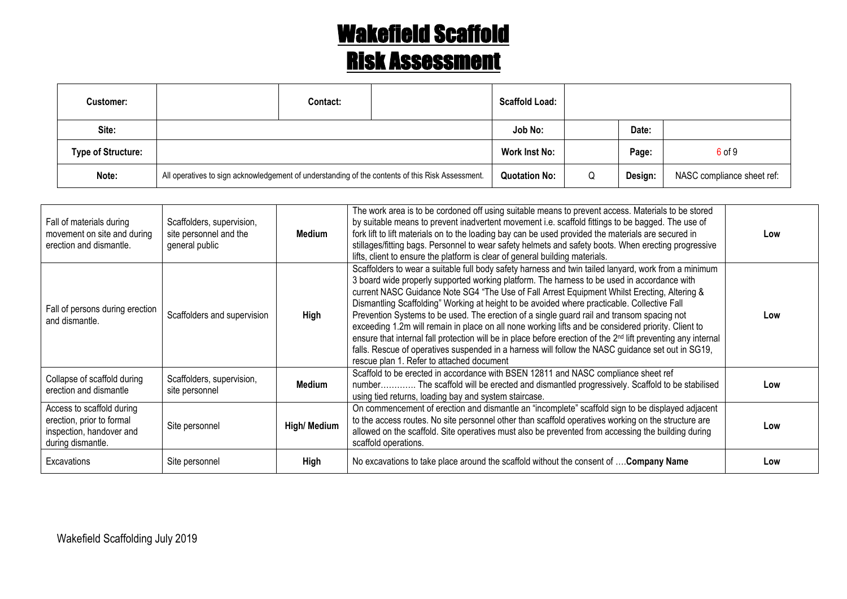| <b>Customer:</b>          |                                                                                                  | Contact: | <b>Scaffold Load:</b> |   |         |                            |
|---------------------------|--------------------------------------------------------------------------------------------------|----------|-----------------------|---|---------|----------------------------|
| Site:                     |                                                                                                  |          | Job No:               |   | Date:   |                            |
| <b>Type of Structure:</b> |                                                                                                  |          | <b>Work Inst No:</b>  |   | Page:   | 6 of 9                     |
| Note:                     | All operatives to sign acknowledgement of understanding of the contents of this Risk Assessment. |          | <b>Quotation No:</b>  | Q | Design: | NASC compliance sheet ref: |

| Fall of materials during<br>movement on site and during<br>erection and dismantle.                      | Scaffolders, supervision,<br>site personnel and the<br>general public | Medium       | The work area is to be cordoned off using suitable means to prevent access. Materials to be stored<br>by suitable means to prevent inadvertent movement i.e. scaffold fittings to be bagged. The use of<br>fork lift to lift materials on to the loading bay can be used provided the materials are secured in<br>stillages/fitting bags. Personnel to wear safety helmets and safety boots. When erecting progressive<br>lifts, client to ensure the platform is clear of general building materials.                                                                                                                                                                                                                                                                                                                                                                                 | Low |
|---------------------------------------------------------------------------------------------------------|-----------------------------------------------------------------------|--------------|----------------------------------------------------------------------------------------------------------------------------------------------------------------------------------------------------------------------------------------------------------------------------------------------------------------------------------------------------------------------------------------------------------------------------------------------------------------------------------------------------------------------------------------------------------------------------------------------------------------------------------------------------------------------------------------------------------------------------------------------------------------------------------------------------------------------------------------------------------------------------------------|-----|
| Fall of persons during erection<br>and dismantle.                                                       | Scaffolders and supervision                                           | High         | Scaffolders to wear a suitable full body safety harness and twin tailed lanyard, work from a minimum<br>3 board wide properly supported working platform. The harness to be used in accordance with<br>current NASC Guidance Note SG4 "The Use of Fall Arrest Equipment Whilst Erecting, Altering &<br>Dismantling Scaffolding" Working at height to be avoided where practicable. Collective Fall<br>Prevention Systems to be used. The erection of a single guard rail and transom spacing not<br>exceeding 1.2m will remain in place on all none working lifts and be considered priority. Client to<br>ensure that internal fall protection will be in place before erection of the 2 <sup>nd</sup> lift preventing any internal<br>falls. Rescue of operatives suspended in a harness will follow the NASC guidance set out in SG19,<br>rescue plan 1. Refer to attached document | Low |
| Collapse of scaffold during<br>erection and dismantle                                                   | Scaffolders, supervision,<br>site personnel                           | Medium       | Scaffold to be erected in accordance with BSEN 12811 and NASC compliance sheet ref<br>number The scaffold will be erected and dismantled progressively. Scaffold to be stabilised<br>using tied returns, loading bay and system staircase.                                                                                                                                                                                                                                                                                                                                                                                                                                                                                                                                                                                                                                             | Low |
| Access to scaffold during<br>erection, prior to formal<br>inspection, handover and<br>during dismantle. | Site personnel                                                        | High/ Medium | On commencement of erection and dismantle an "incomplete" scaffold sign to be displayed adjacent<br>to the access routes. No site personnel other than scaffold operatives working on the structure are<br>allowed on the scaffold. Site operatives must also be prevented from accessing the building during<br>scaffold operations.                                                                                                                                                                                                                                                                                                                                                                                                                                                                                                                                                  | Low |
| Excavations                                                                                             | Site personnel                                                        | High         | No excavations to take place around the scaffold without the consent of  Company Name                                                                                                                                                                                                                                                                                                                                                                                                                                                                                                                                                                                                                                                                                                                                                                                                  | Low |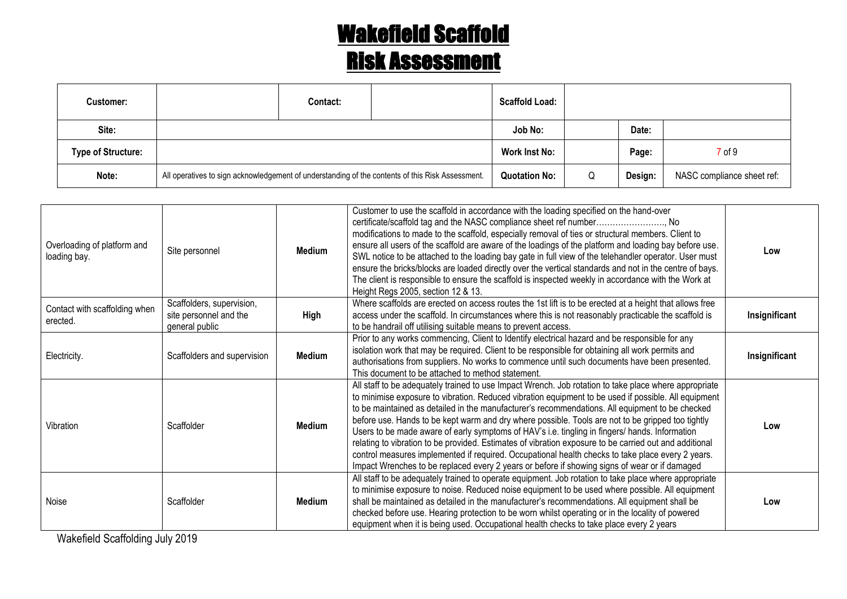| <b>Customer:</b>          |                                                                                                  | Contact: |                      | <b>Scaffold Load:</b> |         |                            |        |
|---------------------------|--------------------------------------------------------------------------------------------------|----------|----------------------|-----------------------|---------|----------------------------|--------|
| Site:                     |                                                                                                  |          |                      | Job No:               |         | Date:                      |        |
| <b>Type of Structure:</b> |                                                                                                  |          |                      | Work Inst No:         |         | Page:                      | 7 of 9 |
| Note:                     | All operatives to sign acknowledgement of understanding of the contents of this Risk Assessment. |          | <b>Quotation No:</b> | Q                     | Design: | NASC compliance sheet ref: |        |

| Overloading of platform and<br>loading bay. | Site personnel                                                                | Medium | Customer to use the scaffold in accordance with the loading specified on the hand-over<br>certificate/scaffold tag and the NASC compliance sheet ref number No<br>modifications to made to the scaffold, especially removal of ties or structural members. Client to<br>ensure all users of the scaffold are aware of the loadings of the platform and loading bay before use.<br>SWL notice to be attached to the loading bay gate in full view of the telehandler operator. User must<br>ensure the bricks/blocks are loaded directly over the vertical standards and not in the centre of bays.<br>The client is responsible to ensure the scaffold is inspected weekly in accordance with the Work at<br>Height Regs 2005, section 12 & 13.                                                                                         | Low           |
|---------------------------------------------|-------------------------------------------------------------------------------|--------|-----------------------------------------------------------------------------------------------------------------------------------------------------------------------------------------------------------------------------------------------------------------------------------------------------------------------------------------------------------------------------------------------------------------------------------------------------------------------------------------------------------------------------------------------------------------------------------------------------------------------------------------------------------------------------------------------------------------------------------------------------------------------------------------------------------------------------------------|---------------|
| Contact with scaffolding when<br>erected.   | Scaffolders, supervision,<br>site personnel and the<br>High<br>general public |        | Where scaffolds are erected on access routes the 1st lift is to be erected at a height that allows free<br>access under the scaffold. In circumstances where this is not reasonably practicable the scaffold is<br>to be handrail off utilising suitable means to prevent access.                                                                                                                                                                                                                                                                                                                                                                                                                                                                                                                                                       | Insignificant |
| Electricity.                                | Scaffolders and supervision                                                   | Medium | Prior to any works commencing, Client to Identify electrical hazard and be responsible for any<br>isolation work that may be required. Client to be responsible for obtaining all work permits and<br>authorisations from suppliers. No works to commence until such documents have been presented.<br>This document to be attached to method statement.                                                                                                                                                                                                                                                                                                                                                                                                                                                                                | Insignificant |
| Vibration                                   | Scaffolder                                                                    | Medium | All staff to be adequately trained to use Impact Wrench. Job rotation to take place where appropriate<br>to minimise exposure to vibration. Reduced vibration equipment to be used if possible. All equipment<br>to be maintained as detailed in the manufacturer's recommendations. All equipment to be checked<br>before use. Hands to be kept warm and dry where possible. Tools are not to be gripped too tightly<br>Users to be made aware of early symptoms of HAV's i.e. tingling in fingers/ hands. Information<br>relating to vibration to be provided. Estimates of vibration exposure to be carried out and additional<br>control measures implemented if required. Occupational health checks to take place every 2 years.<br>Impact Wrenches to be replaced every 2 years or before if showing signs of wear or if damaged | Low           |
| Noise                                       | Scaffolder                                                                    | Medium | All staff to be adequately trained to operate equipment. Job rotation to take place where appropriate<br>to minimise exposure to noise. Reduced noise equipment to be used where possible. All equipment<br>shall be maintained as detailed in the manufacturer's recommendations. All equipment shall be<br>checked before use. Hearing protection to be worn whilst operating or in the locality of powered<br>equipment when it is being used. Occupational health checks to take place every 2 years                                                                                                                                                                                                                                                                                                                                | Low           |

Wakefield Scaffolding July 2019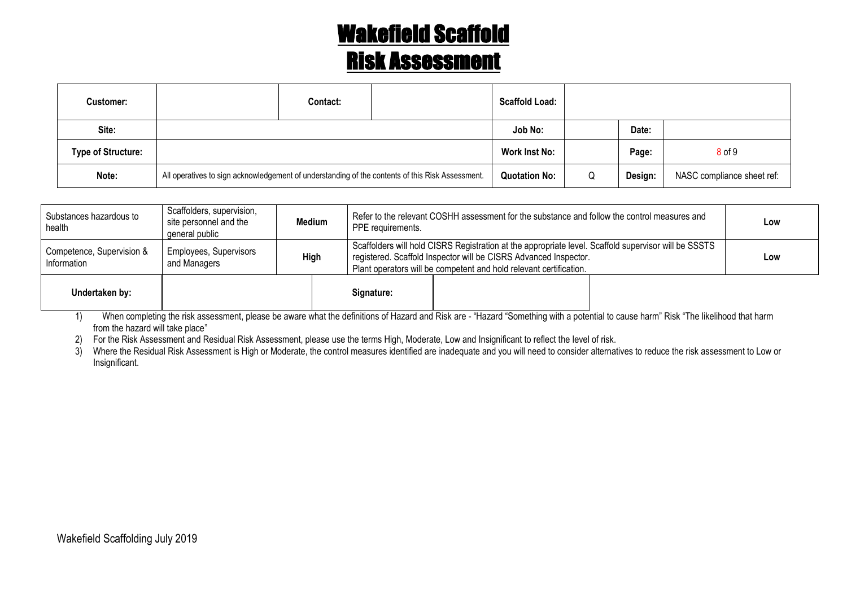| <b>Customer:</b>          |                                                                                                  | Contact: |                      | <b>Scaffold Load:</b> |         |                            |            |
|---------------------------|--------------------------------------------------------------------------------------------------|----------|----------------------|-----------------------|---------|----------------------------|------------|
| Site:                     |                                                                                                  |          |                      | Job No:               |         | Date:                      |            |
| <b>Type of Structure:</b> |                                                                                                  |          |                      | Work Inst No:         |         | Page:                      | $8$ of $9$ |
| Note:                     | All operatives to sign acknowledgement of understanding of the contents of this Risk Assessment. |          | <b>Quotation No:</b> | Q                     | Design: | NASC compliance sheet ref: |            |

| Substances hazardous to<br>health       | Scaffolders, supervision,<br>site personnel and the<br>general public | Medium      | PPE requirements. | Refer to the relevant COSHH assessment for the substance and follow the control measures and                                                                                                                                                   |  | Low |
|-----------------------------------------|-----------------------------------------------------------------------|-------------|-------------------|------------------------------------------------------------------------------------------------------------------------------------------------------------------------------------------------------------------------------------------------|--|-----|
| Competence, Supervision &<br>nformation | <b>Employees, Supervisors</b><br>and Managers                         | <b>High</b> |                   | Scaffolders will hold CISRS Registration at the appropriate level. Scaffold supervisor will be SSSTS<br>registered. Scaffold Inspector will be CISRS Advanced Inspector.<br>Plant operators will be competent and hold relevant certification. |  |     |
| Undertaken by:                          |                                                                       |             | Signature:        |                                                                                                                                                                                                                                                |  |     |

1) When completing the risk assessment, please be aware what the definitions of Hazard and Risk are - "Hazard "Something with a potential to cause harm" Risk "The likelihood that harm from the hazard will take place"

2) For the Risk Assessment and Residual Risk Assessment, please use the terms High, Moderate, Low and Insignificant to reflect the level of risk.

3) Where the Residual Risk Assessment is High or Moderate, the control measures identified are inadequate and you will need to consider alternatives to reduce the risk assessment to Low or Insignificant.